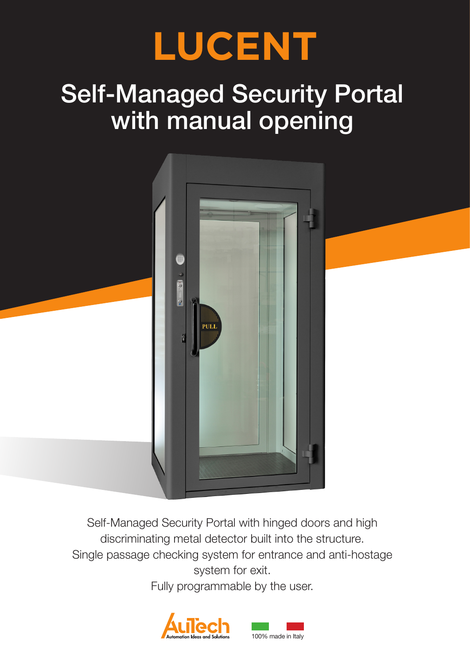

# Self-Managed Security Portal with manual opening



Self-Managed Security Portal with hinged doors and high discriminating metal detector built into the structure. Single passage checking system for entrance and anti-hostage system for exit.

Fully programmable by the user.

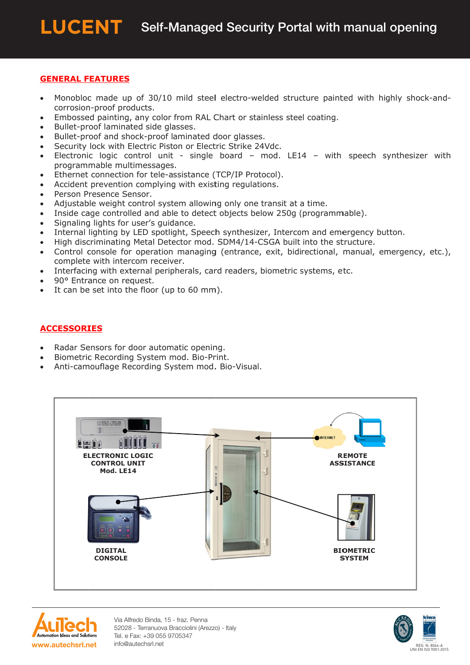### **GENERAL FEATURES**

- Monobloc made up of 30/10 mild steel electro-welded structure painted with highly shock-and- $\bullet$ corrosion-proof products.
- Embossed painting, any color from RAL Chart or stainless steel coating.
- Bullet-proof laminated side glasses.
- Bullet-proof and shock-proof laminated door glasses.
- Security lock with Electric Piston or Electric Strike 24Vdc.  $\bullet$
- Electronic logic control unit single board mod. LE14 with speech synthesizer with  $\bullet$ programmable multimessages.
- Ethernet connection for tele-assistance (TCP/IP Protocol).
- Accident prevention complying with existing regulations.  $\bullet$
- Person Presence Sensor.
- Adjustable weight control system allowing only one transit at a time.
- Inside cage controlled and able to detect objects below 250g (programmable).  $\bullet$
- Signaling lights for user's guidance.  $\bullet$
- Internal lighting by LED spotlight, Speech synthesizer, Intercom and emergency button.  $\bullet$
- High discriminating Metal Detector mod. SDM4/14-CSGA built into the structure.
- Control console for operation managing (entrance, exit, bidirectional, manual, emergency, etc.), complete with intercom receiver.
- Interfacing with external peripherals, card readers, biometric systems, etc.  $\bullet$
- 90° Entrance on request.
- It can be set into the floor (up to 60 mm).

## **ACCESSORIES**

- Radar Sensors for door automatic opening.
- Biometric Recording System mod. Bio-Print.
- Anti-camouflage Recording System mod. Bio-Visual.





Via Alfredo Binda, 15 - fraz. Penna 52028 - Terranuova Bracciolini (Arezzo) - Italy Tel. e Fax: +39 055 9705347 info@autechsrl.net